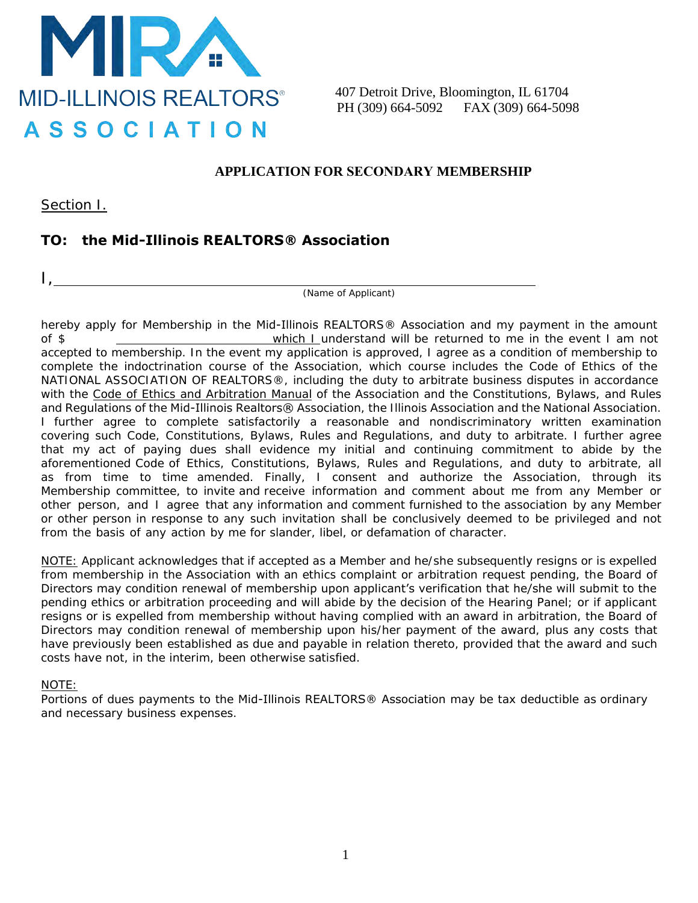

407 Detroit Drive, Bloomington, IL 61704 PH (309) 664-5092 FAX (309) 664-5098

# **APPLICATION FOR SECONDARY MEMBERSHIP**

Section I.

I,

# **TO: the Mid-Illinois REALTORS® Association**

(Name of Applicant)

hereby apply for Membership in the Mid-Illinois REALTORS<sup>®</sup> Association and my payment in the amount of \$ accepted to membership. In the event my application is approved, I agree as a condition of membership to complete the indoctrination course of the Association, which course includes the Code of Ethics of the NATIONAL ASSOCIATION OF REALTORS®, including the duty to arbitrate business disputes in accordance with the Code of Ethics and Arbitration Manual of the Association and the Constitutions, Bylaws, and Rules and Regulations of the Mid-Illinois Realtors® Association, the Illinois Association and the National Association. I further agree to complete satisfactorily a reasonable and nondiscriminatory written examination covering such Code, Constitutions, Bylaws, Rules and Regulations, and duty to arbitrate. I further agree that my act of paying dues shall evidence my initial and continuing commitment to abide by the aforementioned Code of Ethics, Constitutions, Bylaws, Rules and Regulations, and duty to arbitrate, all as from time to time amended. Finally, I consent and authorize the Association, through its Membership committee, to invite and receive information and comment about me from any Member or other person, and I agree that any information and comment furnished to the association by any Member or other person in response to any such invitation shall be conclusively deemed to be privileged and not from the basis of any action by me for slander, libel, or defamation of character.

NOTE: Applicant acknowledges that if accepted as a Member and he/she subsequently resigns or is expelled from membership in the Association with an ethics complaint or arbitration request pending, the Board of Directors may condition renewal of membership upon applicant's verification that he/she will submit to the pending ethics or arbitration proceeding and will abide by the decision of the Hearing Panel; or if applicant resigns or is expelled from membership without having complied with an award in arbitration, the Board of Directors may condition renewal of membership upon his/her payment of the award, plus any costs that have previously been established as due and payable in relation thereto, provided that the award and such costs have not, in the interim, been otherwise satisfied.

# NOTE:

Portions of dues payments to the Mid-Illinois REALTORS<sup>®</sup> Association may be tax deductible as ordinary and necessary business expenses.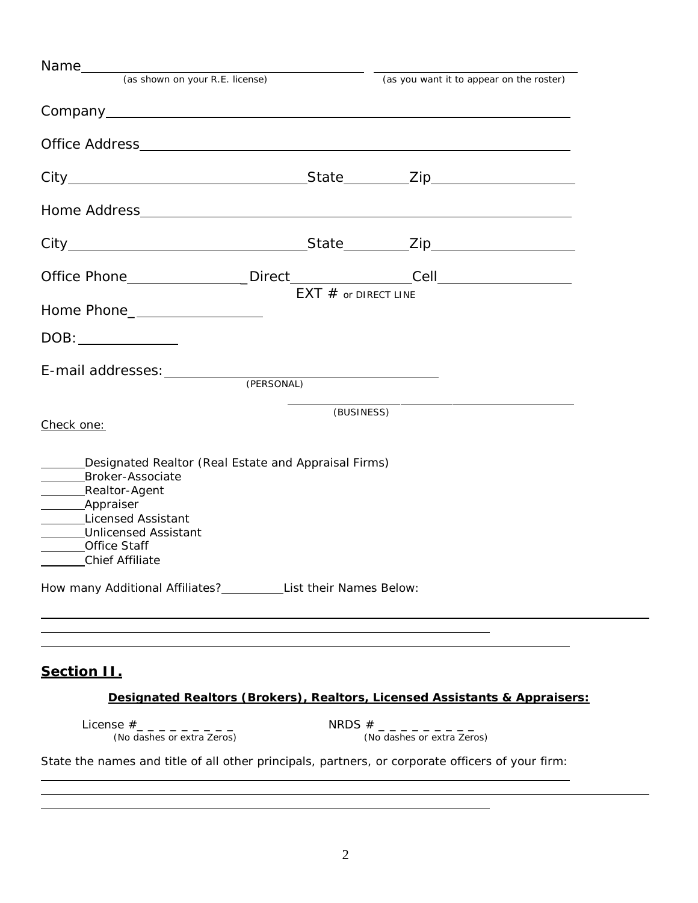| Name (as shown on your R.E. license)                                                                                                                                                                                                                                                       |                        | (as you want it to appear on the roster)                                                                                            |
|--------------------------------------------------------------------------------------------------------------------------------------------------------------------------------------------------------------------------------------------------------------------------------------------|------------------------|-------------------------------------------------------------------------------------------------------------------------------------|
|                                                                                                                                                                                                                                                                                            |                        |                                                                                                                                     |
|                                                                                                                                                                                                                                                                                            |                        |                                                                                                                                     |
|                                                                                                                                                                                                                                                                                            |                        |                                                                                                                                     |
|                                                                                                                                                                                                                                                                                            |                        |                                                                                                                                     |
|                                                                                                                                                                                                                                                                                            |                        |                                                                                                                                     |
|                                                                                                                                                                                                                                                                                            | $EXT #$ or DIRECT LINE |                                                                                                                                     |
| Home Phone___________________                                                                                                                                                                                                                                                              |                        |                                                                                                                                     |
|                                                                                                                                                                                                                                                                                            |                        |                                                                                                                                     |
|                                                                                                                                                                                                                                                                                            | (PERSONAL)             |                                                                                                                                     |
|                                                                                                                                                                                                                                                                                            |                        | <u> Louis Communication de la communication de la communication de la communication de la communication de la com</u><br>(BUSINESS) |
| Designated Realtor (Real Estate and Appraisal Firms)<br>Broker-Associate<br>_________Realtor-Agent<br>___________Appraiser<br>Licensed Assistant<br>Unlicensed Assistant<br>Office Staff<br><b>Chief Affiliate</b><br>How many Additional Affiliates?______________List their Names Below: |                        |                                                                                                                                     |
| Section II.                                                                                                                                                                                                                                                                                |                        | Designated Realtors (Brokers), Realtors, Licensed Assistants & Appraisers:                                                          |
| License $\#$ <sub>------</sub> ----<br>(No dashes or extra Zeros)                                                                                                                                                                                                                          |                        | State the names and title of all other principals, partners, or corporate officers of your firm:                                    |
|                                                                                                                                                                                                                                                                                            |                        |                                                                                                                                     |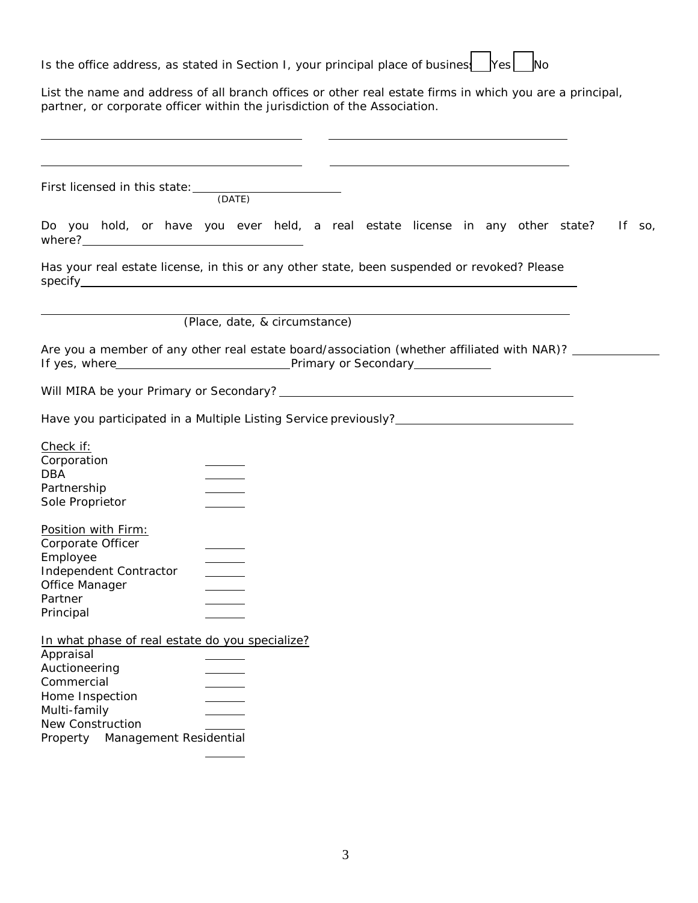| Is the office address, as stated in Section I, your principal place of busines   Yes   No                                                                                                                                                                                                                      |  |
|----------------------------------------------------------------------------------------------------------------------------------------------------------------------------------------------------------------------------------------------------------------------------------------------------------------|--|
| List the name and address of all branch offices or other real estate firms in which you are a principal,<br>partner, or corporate officer within the jurisdiction of the Association.<br><u> 1989 - Johann Stoff, deutscher Stoff, der Stoff, der Stoff, der Stoff, der Stoff, der Stoff, der Stoff, der S</u> |  |
| <u> 2000 - Andrea Andrea Andrea Andrea Andrea Andrea Andrea Andrea Andrea Andrea Andrea Andrea Andrea Andrea Andr</u>                                                                                                                                                                                          |  |
| First licensed in this state: (DATE)                                                                                                                                                                                                                                                                           |  |
| Do you hold, or have you ever held, a real estate license in any other state? If so,                                                                                                                                                                                                                           |  |
| Has your real estate license, in this or any other state, been suspended or revoked? Please                                                                                                                                                                                                                    |  |
| (Place, date, & circumstance)                                                                                                                                                                                                                                                                                  |  |
| Are you a member of any other real estate board/association (whether affiliated with NAR)? ________                                                                                                                                                                                                            |  |
|                                                                                                                                                                                                                                                                                                                |  |
| Have you participated in a Multiple Listing Service previously? _________________                                                                                                                                                                                                                              |  |
| Check if:<br>Corporation<br><b>DBA</b><br>Partnership<br>Sole Proprietor                                                                                                                                                                                                                                       |  |
| Position with Firm:<br>Corporate Officer<br>Employee<br>Independent Contractor<br>Office Manager<br>Partner<br>Principal                                                                                                                                                                                       |  |
| In what phase of real estate do you specialize?<br>Appraisal<br>Auctioneering<br>Commercial<br>Home Inspection<br>Multi-family<br>New Construction<br>Management Residential<br>Property                                                                                                                       |  |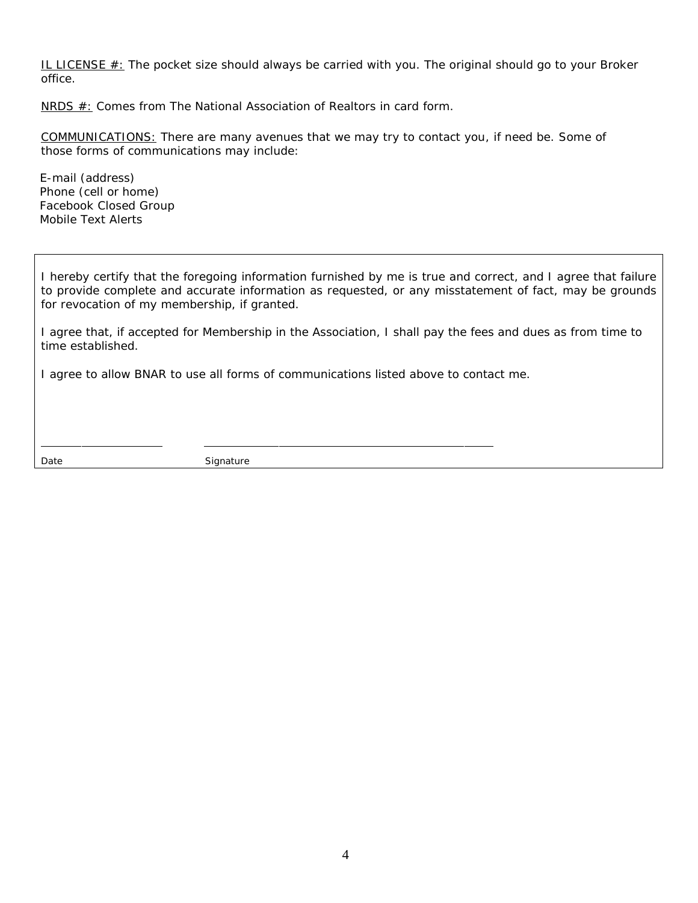IL LICENSE #: The pocket size should always be carried with you. The original should go to your Broker office.

NRDS #: Comes from The National Association of Realtors in card form.

COMMUNICATIONS: There are many avenues that we may try to contact you, if need be. Some of those forms of communications may include:

E-mail (address) Phone (cell or home) Facebook Closed Group Mobile Text Alerts

I hereby certify that the foregoing information furnished by me is true and correct, and I agree that failure to provide complete and accurate information as requested, or any misstatement of fact, may be grounds for revocation of my membership, if granted.

I agree that, if accepted for Membership in the Association, I shall pay the fees and dues as from time to time established.

I agree to allow BNAR to use all forms of communications listed above to contact me.

Date Signature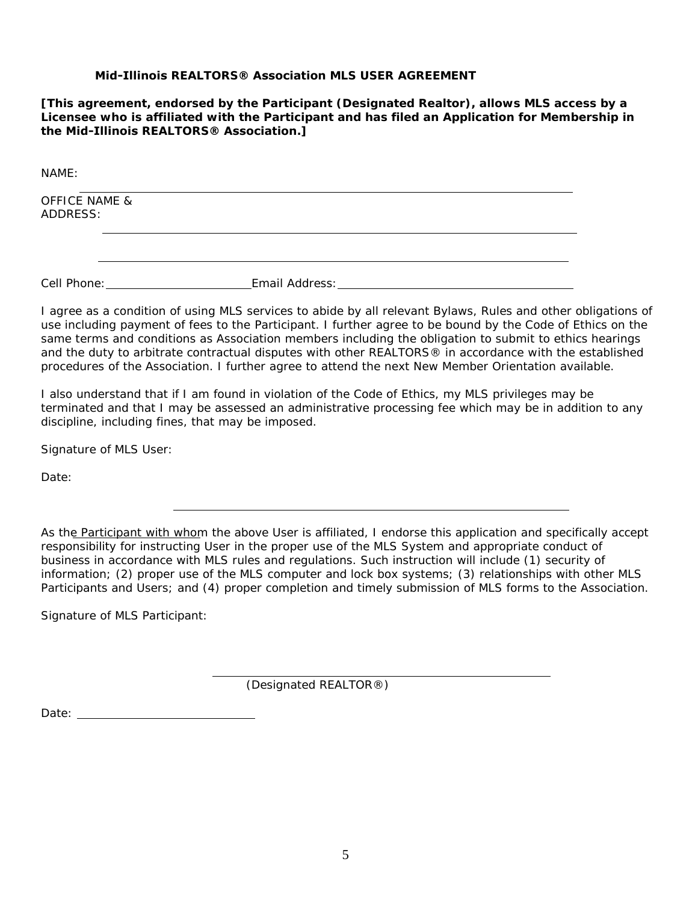# **Mid-Illinois REALTORS® Association MLS USER AGREEMENT**

**[This agreement, endorsed by the Participant (Designated Realtor), allows MLS access by a Licensee who is affiliated with the Participant and has filed an Application for Membership in the Mid-Illinois REALTORS® Association.]**

NAME:

OFFICE NAME & ADDRESS:

Cell Phone: Email Address:

I agree as a condition of using MLS services to abide by all relevant Bylaws, Rules and other obligations of use including payment of fees to the Participant. I further agree to be bound by the Code of Ethics on the same terms and conditions as Association members including the obligation to submit to ethics hearings and the duty to arbitrate contractual disputes with other REALTORS® in accordance with the established procedures of the Association. I further agree to attend the next New Member Orientation available.

I also understand that if I am found in violation of the Code of Ethics, my MLS privileges may be terminated and that I may be assessed an administrative processing fee which may be in addition to any discipline, including fines, that may be imposed.

Signature of MLS User:

Date:

As the Participant with whom the above User is affiliated, I endorse this application and specifically accept responsibility for instructing User in the proper use of the MLS System and appropriate conduct of business in accordance with MLS rules and regulations. Such instruction will include (1) security of information; (2) proper use of the MLS computer and lock box systems; (3) relationships with other MLS Participants and Users; and (4) proper completion and timely submission of MLS forms to the Association.

Signature of MLS Participant:

(Designated REALTOR®)

Date: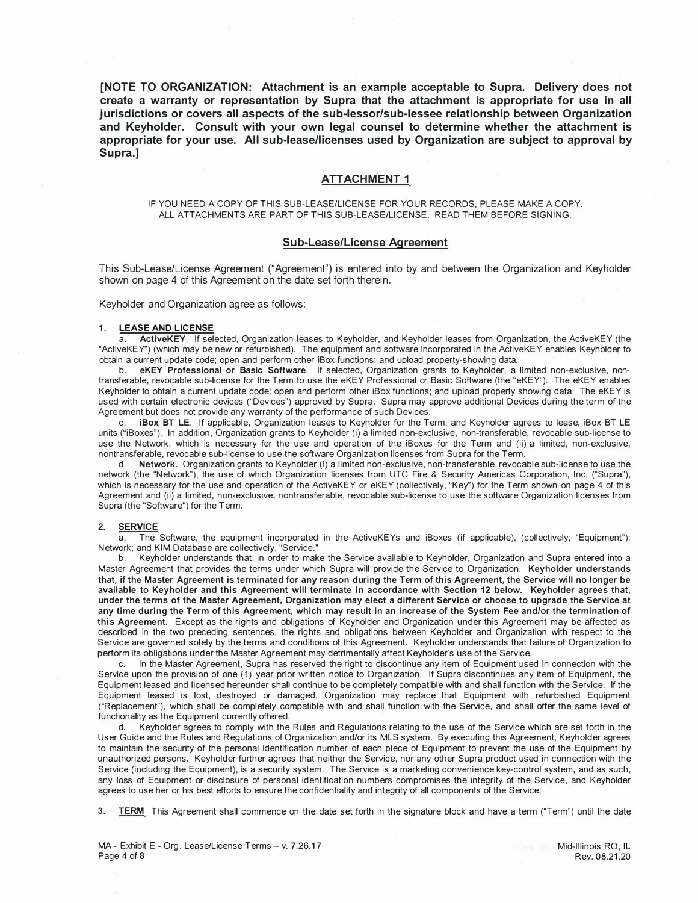**[NOTE TO ORGANIZATION: Attachment is an example acceptable to Supra. Delivery does not create a warranty or representation by Supra that the attachment is appropriate for use in all jurisdictions or covers all aspects of the sub-lessor/sub-lessee relationship between Organization and Keyholder. Consult with your own legal counsel to determine whether the attachment is appropriate for your use. All sub-lease/licenses used by Organization are subject to approval by Supra.]** 

# **ATTACHMENT 1**

IF YOU NEED A COPY OF THIS SUB-LEASE/LICENSE FOR YOUR RECORDS, PLEASE MAKE A COPY. ALL ATTACHMENTS ARE PART OF THIS SUB-LEASE/LICENSE. READ THEM BEFORE SIGNING.

# **Sub-Lease/License Agreement**

This Sub-Lease/License Agreement ("Agreement") is entered into by and between the Organization and Keyholder shown on page 4 of this Agreement on the date set forth therein.

Keyholder and Organization agree as follows:

#### **1. LEASE AND LICENSE**

a. **ActiveKEY.** If selected, Organization leases to Keyholder, and Keyholder leases from Organization, the ActiveKEY (the "ActiveKEY") (which may be new or refurbished). The equipment and software incorporated in the ActiveKEY enables Keyholder to obtain a current update code; open and perform other iBox functions; and upload property-showing data.

b. **eKEY Professional or Basic Software.** If selected, Organization grants to Keyholder, a limited non-exclusive, nontransferable, revocable sub-license for the Term to use the eKEY Professional or Basic Software (the "eKEY''). The eKEY enables Keyholder to obtain a current update code: open and perform other iBox functions; and upload property showing data. The eKEY is used with certain electronic devices ("Devices") approved by Supra. Supra may approve additional Devices during the term of the Agreement but does not provide any warranty of the performance of such Devices.

c. **iBox BT** LE. If applicable, Organization leases to Keyholder for the Term, and Keyholder agrees to lease, iBox BT LE units ("iBoxes"). In addition, Organization grants to Keyholder (i) a limited non-exclusive, non-transferable, revocable sub-license to use the Network, which is necessary for the use and operation of the iBoxes for the Term and (ii) a limited, non-exclusive, nontransferable, revocable sub-license to use the software Organization licenses from Supra for the Term.

d. **Network.** Organization grants to Keyholder (i) a limited non-exclusive, non-transferable, revocable sub-license to use the network (the "Network"), the use of which Organization licenses from UTC Fire & Security Americas Corporation, Inc. ("Supra"), which is necessary for the use and operation of the ActiveKEY or eKEY (collectively, "Key") for the Term shown on page 4 of this Agreement and (ii) a limited, non-exclusive, nontransferable, revocable sub-license to use the software Organization licenses from Supra (the "Software") for the Term.

#### **2. SERVICE**

a. The Software, the equipment incorporated in the ActiveKEYs and iBoxes (if applicable), (collectively, "Equipment"); Network; and KIM Database are collectively, "Service."

b. Keyholder understands that, in order to make the Service available to Keyholder, Organization and Supra entered into a Master Agreement that provides the terms under which Supra will provide the Service to Organization. **Keyholder understands that, if the Master Agreement is terminated** for **any reason during the Term of this Agreement, the Service will** no **longer be available to Keyholder and this Agreement will terminate in accordance with Section 12 below. Keyholder agrees that, under the terms of the Master Agreement, Organization may elect a different Service or choose to upgrade the Service at any time** during **the Term of this Agreement, which may result in an increase of the System Fee and/or the termination of this Agreement.** Except as the rights and obligations of Keyholder and Organization under this Agreement may be affected as described in the two preceding sentences, the rights and obligations between Keyholder and Organization with respect to the Service are governed solely by the terms and conditions of this Agreement. Keyholder understands that failure of Organization to perform its obligations under the Master Agreement may detrimentally affect Keyholder's use of the Service.

c. In the Master Agreement, Supra has reserved the right to discontinue any item of Equipment used in connection with the Service upon the provision of one (1) year prior written notice to Organization. If Supra discontinues any item of Equipment, the Equipment leased and licensed hereunder shall continue to be completely compatible with and shall function with the Service. If the Equipment leased is lost, destroyed or damaged, Organization may replace that Equipment with refurbished Equipment ("Replacement"), which shall be completely compatible with and shall function with the Service, and shall *offer* the same level of functionality as the Equipment currently offered.

d. Keyholder agrees to comply with the Rules and Regulations relating to the use of the Service which are set forth in the User Guide and the Rules and Regulations of Organization and/or its MLS system. By executing this Agreement, Keyholder agrees to maintain the security of the personal identification number of each piece of Equipment to prevent the use of the Equipment by unauthorized persons. Keyholder further agrees that neither the Service, nor any other Supra product used in connection with the Service (including the Equipment), is a security system. The Service is a marketing convenience key-control system, and as such, any loss of Equipment or disclosure of personal identification numbers compromises the integrity of the Service, and Keyholder agrees to use her or his best efforts to ensure the confidentiality and integrity of all components of the Service.

3. **TERM** This Agreement shall commence on the date set forth in the signature block and have a term ("Term") until the date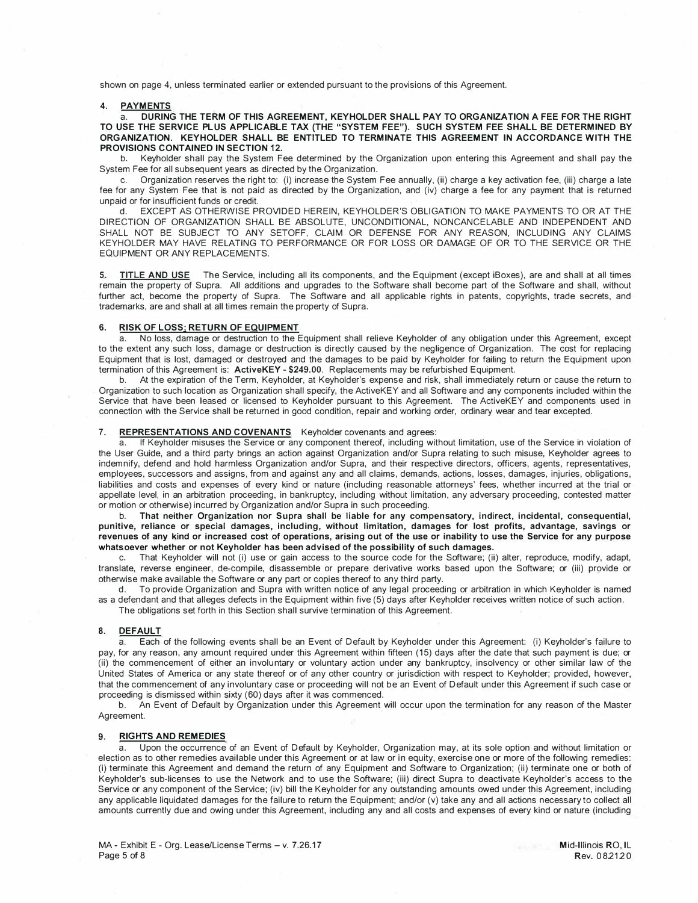shown on page 4, unless terminated earlier or extended pursuant to the provisions of this Agreement.

#### 4. PAYMENTS

a. DURING THE TERM OF THIS AGREEMENT, KEYHOLDER SHALL PAY TO ORGANIZATION A FEE FOR THE RIGHT TO USE THE SERVICE PLUS APPLICABLE TAX (THE "SYSTEM FEE"). SUCH SYSTEM FEE SHALL BE DETERMINED BY ORGANIZATION. KEYHOLDER SHALL BE ENTITLED TO TERMINATE THIS AGREEMENT IN ACCORDANCE WITH THE **PROVISIONS CONTAINED IN SECTION 12.** 

b. Keyholder shall pay the System Fee determined by the Organization upon entering this Agreement and shall pay the System Fee for all subsequent years as directed by the Organization.

c. Organization reserves the right to: (i) increase the System Fee annually, (ii) charge a key activation fee, (iii) charge a late fee for any System Fee that is not paid as directed by the Organization, and (iv) charge a fee for any payment that is returned unpaid or for insufficient funds or credit.

d. EXCEPT AS OTHERWISE PROVIDED HEREIN, KEYHOLDER'S OBLIGATION TO MAKE PAYMENTS TO OR AT THE DIRECTION OF ORGANIZATION SHALL BE ABSOLUTE, UNCONDITIONAL, NONCANCELABLE AND INDEPENDENT AND SHALL NOT BE SUBJECT TO ANY SETOFF, CLAIM OR DEFENSE FOR ANY REASON, INCLUDING ANY CLAIMS KEYHOLDER MAY HAVE RELATING TO PERFORMANCE OR FOR LOSS OR DAMAGE OF OR TO THE SERVICE OR THE EQUIPMENT OR ANY REPLACEMENTS.

5. TITLE AND USE The Service, including all its components, and the Equipment (except iBoxes), are and shall at all times remain the property of Supra. All additions and upgrades to the Software shall become part of the Software and shall, without further act, become the property of Supra. The Software and all applicable rights in patents, copyrights, trade secrets, and trademarks, are and shall at all times remain the property of Supra.

#### **6. RISK OF LOSS: RETURN** OF **EQUIPMENT**

a. No loss, damage or destruction to the Equipment shall relieve Keyholder of any obligation under this Agreement, except to the extent any such loss, damage or destruction is directly caused by the negligence of Organization. The cost for replacing Equipment that is lost, damaged or destroyed and the damages to be paid by Keyholder for failing to return the Equipment upon termination of this Agreement is: **Active KEY• \$249.00.** Replacements may be refurbished Equipment.

b. At the expiration of the Term, Keyholder, at Keyholder's expense and risk, shall immediately return or cause the return to Organization to such location as Organization shall specify, the ActiveKEY and all Software and any components included within the Service that have been leased or licensed to Keyholder pursuant to this Agreement. The ActiveKEY and components used in connection with the Service shall be returned in good condition, repair and working order, ordinary wear and tear excepted.

# 7. **REPRESENTATIONS AND COVENANTS** Keyholder covenants and agrees:

a. If Keyholder misuses the Service or any component thereof, including without limitation, use of the Service in violation of the User Guide, and a third party brings an action against Organization and/or Supra relating to such misuse, Keyholder agrees to indemnify, defend and hold harmless Organization and/or Supra, and their respective directors, officers, agents, representatives, employees, successors and assigns, from and against any and all claims, demands, actions, losses, damages, injuries, obligations, liabilities and costs and expenses of every kind or nature (including reasonable attorneys' fees, whether incurred at the trial or appellate level, in an arbitration proceeding, in bankruptcy, including without limitation, any adversary proceeding, contested matter or motion or otherwise) incurred by Organization and/or Supra in such proceeding.

b. That neither Organization nor Supra shall be liable for any compensatory, indirect, incidental, consequential, **punitive, reliance or special damages, including, without limitation, damages for lost profits, advantage, savings or revenues of any kind or increased cost of operations, arising out of the use or inability to use the Service for any purpose whatsoever whether or not Keyholder has been advised of the possibility of such damages.** 

c. That Keyholder will not (i) use or gain access to the source code for the Software; (ii) alter, reproduce, modify, adapt, translate, reverse engineer, de-compile, disassemble or prepare derivative works based upon the Software; or (iii) provide or otherwise make available the Software or any part or copies thereof to any third party.

d. To provide Organization and Supra with written notice of any legal proceeding or arbitration in which Keyholder is named as a defendant and that alleges defects in the Equipment within five (5) days after Keyholder receives written notice of such action. The obligations set forth in this Section shall survive termination of this Agreement.

#### **8. DEFAULT**

a. Each of the following events shall be an Event of Default by Keyholder under this Agreement: (i) Keyholder's failure to pay, for any reason, any amount required under this Agreement within fifteen (15) days after the date that such payment is due; or (ii) the commencement of either an involuntary or voluntary action under any bankruptcy, insolvency or other similar law of the United States of America or any state thereof or of any other country or jurisdiction with respect to Keyholder; provided, however, that the commencement of any involuntary case or proceeding will not be an Event of Default under this Agreement if such case or proceeding is dismissed within sixty (60) days after it was commenced.

b. An Event of Default by Organization under this Agreement will occur upon the termination for any reason of the Master Agreement.

#### **9. RIGHTS AND REMEDIES**

a. Upon the occurrence of an Event of Default by Keyholder, Organization may, at its sole option and without limitation or election as to other remedies available under this Agreement or at law or in equity, exercise one or more of the following remedies: (i) terminate this Agreement and demand the return of any Equipment and Software to Organization; (ii) terminate one or both of Keyholder's sub-licenses to use the Network and to use the Software; (iii) direct Supra to deactivate Keyholder's access to the Service or any component of the Service; (iv) bill the Keyholder for any outstanding amounts owed under this Agreement, including any applicable liquidated damages for the failure to return the Equipment; and/or (v) take any and all actions necessary to collect all amounts currently due and owing under this Agreement, including any and all costs and expenses of every kind or nature (including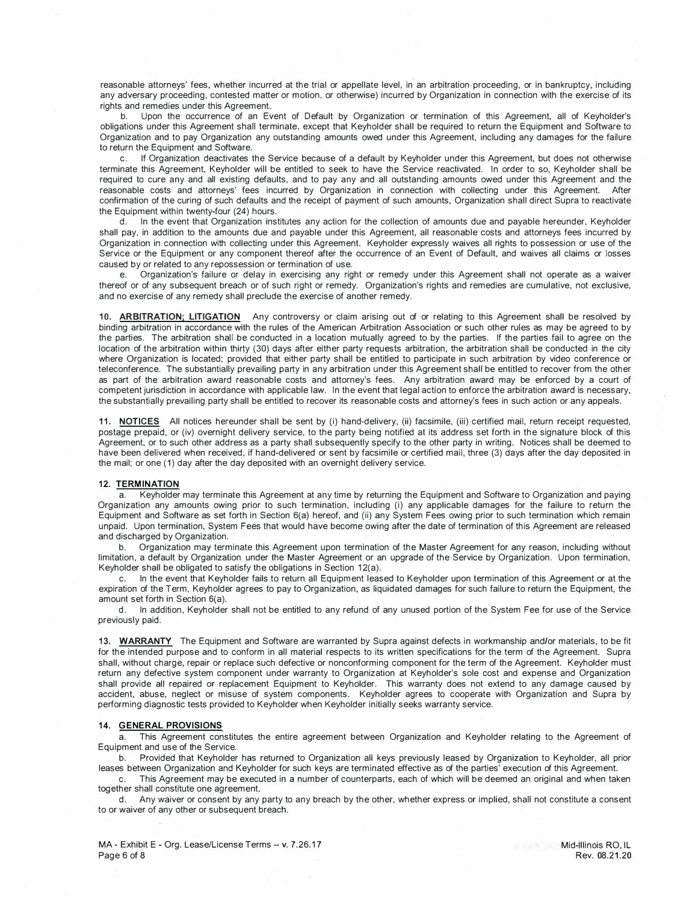reasonable attorneys' fees, whether incurred at the trial or appellate level, in an arbitration proceeding, or in bankruptcy, including any adversary proceeding, contested matter or motion, or otherwise) incurred by Organization in connection with the exercise of its rights and remedies under this Agreement.

b. Upon the occurrence of an Event of Default by Organization or termination of this Agreement, all of Keyholder's obligations under this Agreement shall terminate, except that Keyholder shall be required to return the Equipment and Software to Organization and to pay Organization any outstanding amounts owed under this Agreement, including any damages for the failure to return the Equipment and Software.

c. If Organization deactivates the Service because of a default by Keyholder under this Agreement, but does not otherwise terminate this Agreement, Keyholder will be entitled to seek to have the Service reactivated. In order to so, Keyholder shall be required to cure any and all existing defaults, and to pay any and all outstanding amounts owed under this Agreement and the reasonable costs and attorneys' fees incurred by Organization in connection with collecting under this Agreement. After confirmation of the curing of such defaults and the receipt of payment of such amounts, Organization shall direct Supra to reactivate the Equipment within twenty-four (24) hours.

d. In the event that Organization institutes any action for the collection of amounts due and payable hereunder, Keyholder shall pay, in addition to the amounts due and payable under this Agreement, all reasonable costs and attorneys fees incurred by Organization in connection with collecting under this Agreement. Keyholder expressly waives all rights to possession or use of the Service or the Equipment or any component thereof after the occurrence of an Event of Default, and waives all claims or losses caused by or related to any repossession or termination of use.

e. Organization's failure or delay in exercising any right or remedy under this Agreement shall not operate as a waiver thereof or of any subsequent breach or of such right or remedy. Organization's rights and remedies are cumulative, not exclusive, and no exercise of any remedy shall preclude the exercise of another remedy.

10. **ARBITRATION: LITIGATION** Any controversy or claim arising out of or relating to this Agreement shall be resolved by binding arbitration in accordance with the rules of the American Arbitration Association or such other rules as may be agreed to by the parties. The arbitration shall be conducted in a location mutually agreed to by the parties. If the parties fail to agree on the location of the arbitration within thirty (30) days after either party requests arbitration, the arbitration shall be conducted in the city where Organization is located; provided that either party shall be entitled to participate in such arbitration by video conference or teleconference. The substantially prevailing party in any arbitration under this Agreement shall be entitled to recover from the other as part of the arbitration award reasonable costs and attorney's fees. Any arbitration award may be enforced by a court of competent jurisdiction in accordance with applicable law. In the event that legal action to enforce the arbitration award is necessary, the substantially prevailing party shall be entitled to recover its reasonable costs and attorney's fees in such action or any appeals.

11. **NOTICES** All notices hereunder shall be sent by (i) hand-delivery, (ii) facsimile, (iii) certified mail, return receipt requested, postage prepaid, or (iv) overnight delivery service, to the party being notified at its address set forth in the signature block of this Agreement, or to such other address as a party shall subsequently specify to the other party in writing. Notices shall be deemed to have been delivered when received, if hand-delivered or sent by facsimile or certified mail, three (3) days after the day deposited in the mail; or one (1) day after the day deposited with an overnight delivery service.

#### 12. **TERMINATION**

a. Keyholder may terminate this Agreement at any time by returning the Equipment and Software to Organization and paying Organization any amounts owing prior to such termination, including (i) any applicable damages for the failure to return the Equipment and Software as set forth in Section 6(a) hereof, and (ii) any System Fees owing prior to such termination which remain unpaid. Upon termination, System Fees that would have become owing after the date of termination of this Agreement are released and discharged by Organization.

b. Organization may terminate this Agreement upon termination of the Master Agreement for any reason, including without limitation, a default by Organization under the Master Agreement or an upgrade of the Service by Organization. Upon termination, Keyholder shall be obligated to satisfy the obligations in Section 12(a).

c. In the event that Keyholder fails to return all Equipment leased to Keyholder upon termination of this Agreement or at the expiration of the Term, Keyholder agrees to pay to Organization, as liquidated damages for such failure to return the Equipment, the amount set forth in Section 6(a).

d. In addition, Keyholder shall not be entitled to any refund of any unused portion of the System Fee for use of the Service previously paid.

13. WARRANTY The Equipment and Software are warranted by Supra against defects in workmanship and/or materials, to be fit for the intended purpose and to conform in all material respects to its written specifications for the term of the Agreement. Supra shall, without charge, repair or replace such defective or nonconforming component for the term of the Agreement. Keyholder must return any defective system component under warranty to Organization at Keyholder's sole cost and expense and Organization shall provide all repaired or replacement Equipment to Keyholder. This warranty does not extend to any damage caused by accident, abuse, neglect or misuse of system components. Keyholder agrees to cooperate with Organization and Supra by performing diagnostic tests provided to Keyholder when Keyholder initially seeks warranty service.

#### **14. GENERAL PROVISIONS**

a. This Agreement constitutes the entire agreement between Organization and Keyholder relating to the Agreement of Equipment and use of the Service.

b. Provided that Keyholder has returned to Organization all keys previously leased by Organization to Keyholder, all prior leases between Organization and Keyholder for such keys are terminated effective as of the parties' execution of this Agreement.

This Agreement may be executed in a number of counterparts, each of which will be deemed an original and when taken together shall constitute one agreement.

d. Any waiver or consent by any party to any breach by the other, whether express or implied, shall not constitute a consent to or waiver of any other or subsequent breach.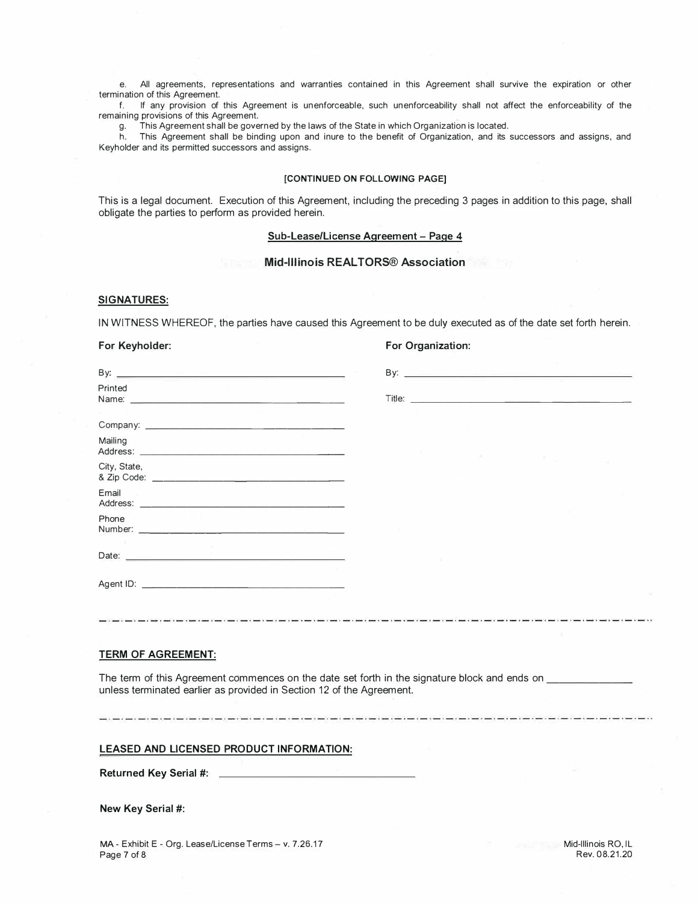e. All agreements, representations and warranties contained in this Agreement shall survive the expiration or other termination of this Agreement.<br>f If any provision of

f. If any provision of this Agreement is unenforceable, such unenforceability shall not affect the enforceability of the remaining provisions of this Agreement.

g. This Agreement shall be governed by the laws of the State in which Organization is located.

h. This Agreement shall be binding upon and inure to the benefit of Organization, and its successors and assigns, and Keyholder and its permitted successors and assigns.

## **[CONTINUED ON FOLLOWING PAGE]**

This is a legal document. Execution of this Agreement, including the preceding 3 pages in addition to this page, shall obligate the parties to perform as provided herein.

# **Sub-Lease/License Agreement - Page 4**

## **Mid-Illinois REALTORS® Association**

# **SIGNATURES:**

**IN** WITNESS WHEREOF, the parties have caused this Agreement to be duly executed as of the date set forth herein.

#### **For Keyholder: For Organization:**

| Printed                                                                                                        | Title: Title: The Communication of the Communication of the Communication of the Communication of the Communication of the Communication of the Communication of the Communication of the Communication of the Communication o |
|----------------------------------------------------------------------------------------------------------------|--------------------------------------------------------------------------------------------------------------------------------------------------------------------------------------------------------------------------------|
|                                                                                                                |                                                                                                                                                                                                                                |
| Mailing                                                                                                        |                                                                                                                                                                                                                                |
| City, State,                                                                                                   |                                                                                                                                                                                                                                |
| Email                                                                                                          |                                                                                                                                                                                                                                |
| Phone                                                                                                          |                                                                                                                                                                                                                                |
| Date: 2008 - 2009 - 2009 - 2009 - 2009 - 2009 - 2009 - 2009 - 2009 - 2009 - 2009 - 2009 - 2009 - 2009 - 2009 - |                                                                                                                                                                                                                                |
|                                                                                                                |                                                                                                                                                                                                                                |
|                                                                                                                |                                                                                                                                                                                                                                |

# **TERM OF AGREEMENT:**

The term of this Agreement commences on the date set forth in the signature block and ends on \_\_\_\_\_\_\_\_\_\_\_\_\_\_ unless terminated earlier as provided in Section 12 of the Agreement.

### **LEASED AND LICENSED PRODUCT INFORMATION:**

**Returned Key Serial #:** 

**New Key Serial #:** 

MA - Exhibit E - Org. Lease/License Terms - v. 7.26.17 Page 7 of 8

Mid-Illinois RO, IL Rev. 08.21.20